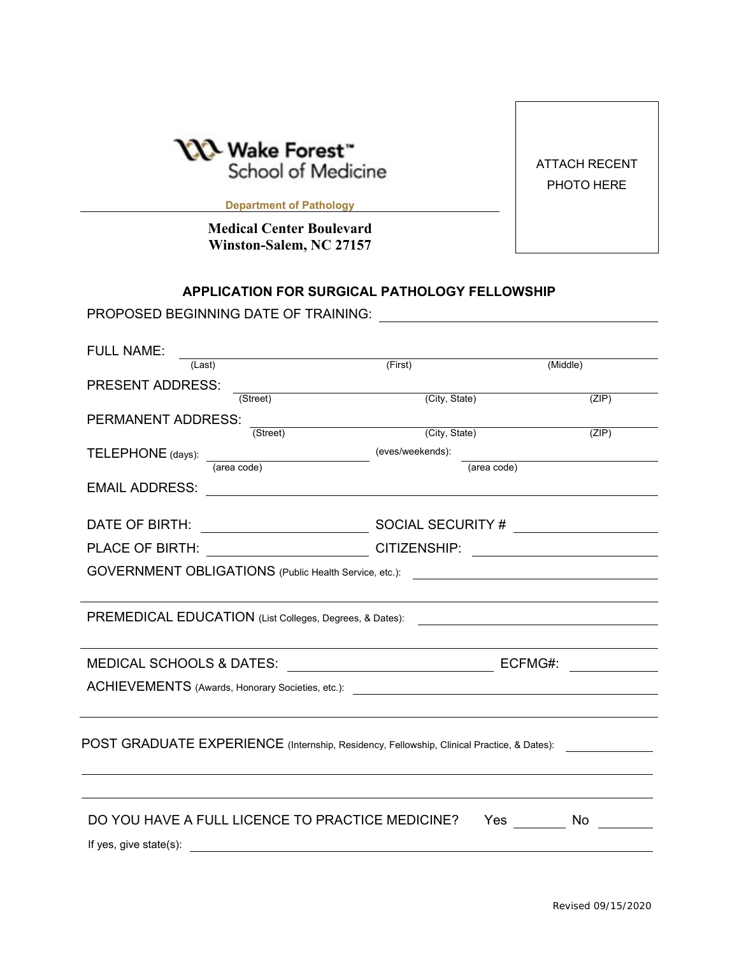

ATTACH RECENT PHOTO HERE

**Department of Pathology**

**Medical Center Boulevard Winston-Salem, NC 27157** 

## **APPLICATION FOR SURGICAL PATHOLOGY FELLOWSHIP**

PROPOSED BEGINNING DATE OF TRAINING:

| <b>FULL NAME:</b>                                                                                                                                                                                                             |                  |          |
|-------------------------------------------------------------------------------------------------------------------------------------------------------------------------------------------------------------------------------|------------------|----------|
| (Last)                                                                                                                                                                                                                        | (First)          | (Middle) |
| <b>PRESENT ADDRESS:</b>                                                                                                                                                                                                       |                  |          |
| (Street)                                                                                                                                                                                                                      | (City, State)    | (ZIP)    |
| PERMANENT ADDRESS:<br>(Street)                                                                                                                                                                                                | (City, State)    | (ZIP)    |
|                                                                                                                                                                                                                               | (eves/weekends): |          |
| TELEPHONE (days): <u>(area code)</u>                                                                                                                                                                                          | (area code)      |          |
|                                                                                                                                                                                                                               |                  |          |
|                                                                                                                                                                                                                               |                  |          |
| PLACE OF BIRTH: ____________________________CITIZENSHIP: _______________________                                                                                                                                              |                  |          |
|                                                                                                                                                                                                                               |                  |          |
| GOVERNMENT OBLIGATIONS (Public Health Service, etc.): __________________________                                                                                                                                              |                  |          |
|                                                                                                                                                                                                                               |                  |          |
| PREMEDICAL EDUCATION (List Colleges, Degrees, & Dates):                                                                                                                                                                       |                  |          |
|                                                                                                                                                                                                                               |                  |          |
|                                                                                                                                                                                                                               |                  |          |
|                                                                                                                                                                                                                               |                  |          |
|                                                                                                                                                                                                                               |                  |          |
|                                                                                                                                                                                                                               |                  |          |
| POST GRADUATE EXPERIENCE (Internship, Residency, Fellowship, Clinical Practice, & Dates): ______________                                                                                                                      |                  |          |
|                                                                                                                                                                                                                               |                  |          |
| DO YOU HAVE A FULL LICENCE TO PRACTICE MEDICINE?                                                                                                                                                                              | <b>Yes</b>       | No       |
| If yes, give state(s): The state of the state of the state of the state of the state of the state of the state of the state of the state of the state of the state of the state of the state of the state of the state of the |                  |          |
|                                                                                                                                                                                                                               |                  |          |